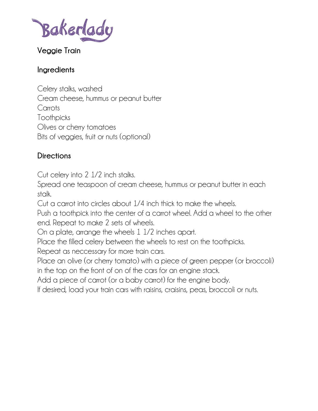Bakerlady

# **Veggie Train**

#### **Ingredients**

Celery stalks, washed Cream cheese, hummus or peanut butter Carrots Toothpicks Olives or cherry tomatoes Bits of veggies, fruit or nuts (optional)

## **Directions**

Cut celery into 2 1/2 inch stalks.

Spread one teaspoon of cream cheese, hummus or peanut butter in each stalk.

Cut a carrot into circles about 1/4 inch thick to make the wheels.

Push a toothpick into the center of a carrot wheel. Add a wheel to the other end. Repeat to make 2 sets of wheels.

On a plate, arrange the wheels 1 1/2 inches apart.

Place the filled celery between the wheels to rest on the toothpicks.

Repeat as neccessary for more train cars.

Place an olive (or cherry tomato) with a piece of green pepper (or broccoli) in the top on the front of on of the cars for an engine stack.

Add a piece of carrot (or a baby carrot) for the engine body.

If desired, load your train cars with raisins, craisins, peas, broccoli or nuts.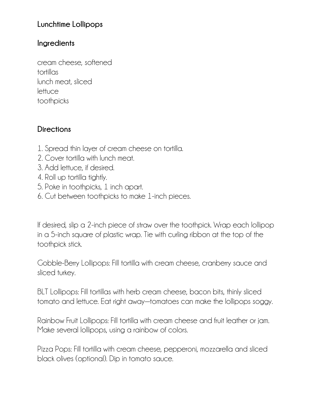# **Lunchtime Lollipops**

#### **Ingredients**

cream cheese, softened tortillas lunch meat, sliced lettuce toothpicks

## **Directions**

- 1. Spread thin layer of cream cheese on tortilla.
- 2. Cover tortilla with lunch meat.
- 3. Add lettuce, if desired.
- 4. Roll up tortilla tightly.
- 5. Poke in toothpicks, 1 inch apart.
- 6. Cut between toothpicks to make 1-inch pieces.

If desired, slip a 2-inch piece of straw over the toothpick. Wrap each lollipop in a 5-inch square of plastic wrap. Tie with curling ribbon at the top of the toothpick stick.

Gobble-Berry Lollipops: Fill tortilla with cream cheese, cranberry sauce and sliced turkey.

BLT Lollipops: Fill tortillas with herb cream cheese, bacon bits, thinly sliced tomato and lettuce. Eat right away—tomatoes can make the lollipops soggy.

Rainbow Fruit Lollipops: Fill tortilla with cream cheese and fruit leather or jam. Make several lollipops, using a rainbow of colors.

Pizza Pops: Fill tortilla with cream cheese, pepperoni, mozzarella and sliced black olives (optional). Dip in tomato sauce.